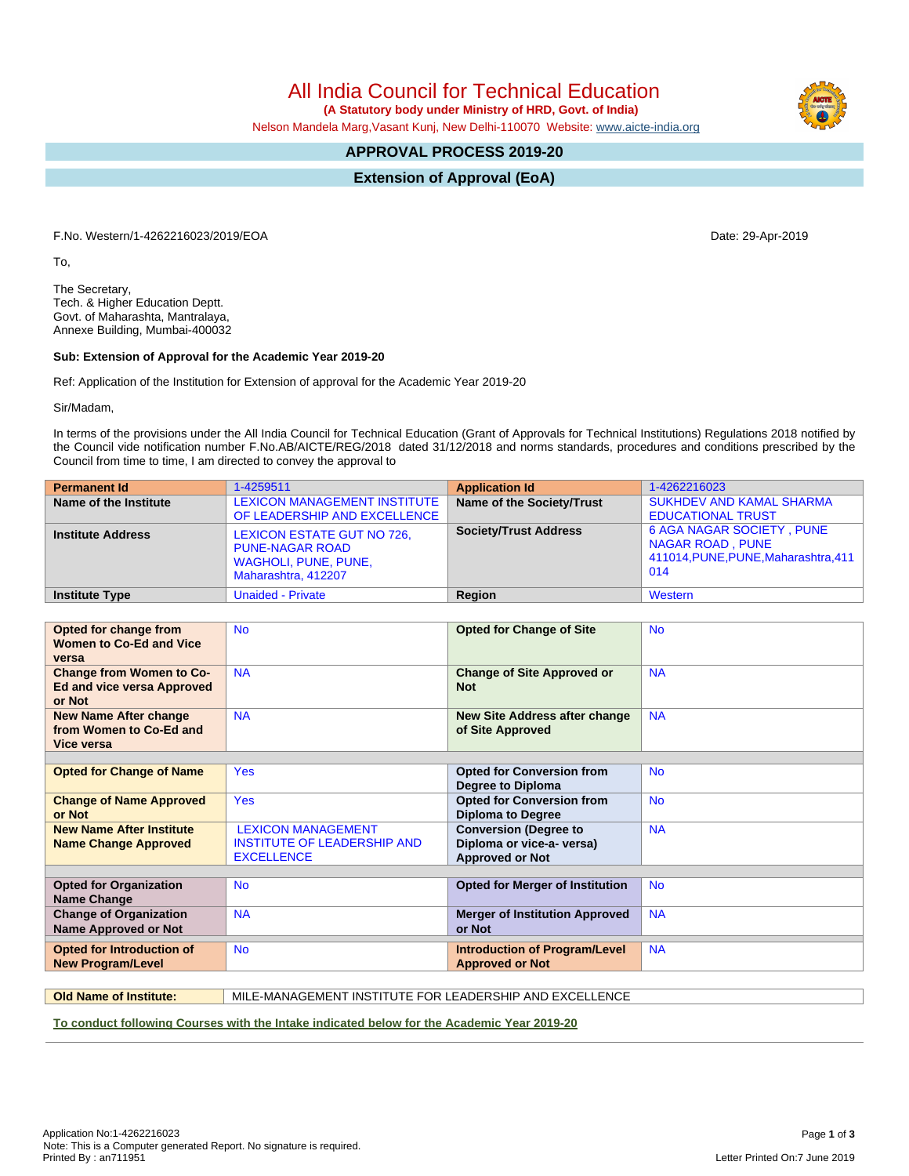All India Council for Technical Education

 **(A Statutory body under Ministry of HRD, Govt. of India)**

Nelson Mandela Marg,Vasant Kunj, New Delhi-110070 Website: [www.aicte-india.org](http://www.aicte-india.org)

# **APPROVAL PROCESS 2019-20**

**Extension of Approval (EoA)**

F.No. Western/1-4262216023/2019/EOA Date: 29-Apr-2019

To,

The Secretary, Tech. & Higher Education Deptt. Govt. of Maharashta, Mantralaya, Annexe Building, Mumbai-400032

### **Sub: Extension of Approval for the Academic Year 2019-20**

Ref: Application of the Institution for Extension of approval for the Academic Year 2019-20

Sir/Madam,

In terms of the provisions under the All India Council for Technical Education (Grant of Approvals for Technical Institutions) Regulations 2018 notified by the Council vide notification number F.No.AB/AICTE/REG/2018 dated 31/12/2018 and norms standards, procedures and conditions prescribed by the Council from time to time, I am directed to convey the approval to

| <b>Permanent Id</b>      | 1-4259511                                                                                                  | <b>Application Id</b>        | 1-4262216023                                                                                               |
|--------------------------|------------------------------------------------------------------------------------------------------------|------------------------------|------------------------------------------------------------------------------------------------------------|
| Name of the Institute    | <b>LEXICON MANAGEMENT INSTITUTE</b><br>OF LEADERSHIP AND EXCELLENCE                                        | Name of the Society/Trust    | <b>SUKHDEV AND KAMAL SHARMA</b><br><b>EDUCATIONAL TRUST</b>                                                |
| <b>Institute Address</b> | LEXICON ESTATE GUT NO 726,<br><b>PUNE-NAGAR ROAD</b><br><b>WAGHOLI, PUNE, PUNE,</b><br>Maharashtra, 412207 | <b>Society/Trust Address</b> | <b>6 AGA NAGAR SOCIETY, PUNE</b><br><b>NAGAR ROAD, PUNE</b><br>411014, PUNE, PUNE, Maharashtra, 411<br>014 |
| <b>Institute Type</b>    | <b>Unaided - Private</b>                                                                                   | Region                       | Western                                                                                                    |

| Opted for change from<br><b>Women to Co-Ed and Vice</b><br>versa               | <b>No</b>                                                                            | <b>Opted for Change of Site</b>                                                     | <b>No</b> |
|--------------------------------------------------------------------------------|--------------------------------------------------------------------------------------|-------------------------------------------------------------------------------------|-----------|
| <b>Change from Women to Co-</b><br><b>Ed and vice versa Approved</b><br>or Not | <b>NA</b>                                                                            | <b>Change of Site Approved or</b><br><b>Not</b>                                     | <b>NA</b> |
| <b>New Name After change</b><br>from Women to Co-Ed and<br>Vice versa          | <b>NA</b>                                                                            | <b>New Site Address after change</b><br>of Site Approved                            | <b>NA</b> |
|                                                                                |                                                                                      |                                                                                     |           |
| <b>Opted for Change of Name</b>                                                | <b>Yes</b>                                                                           | <b>Opted for Conversion from</b><br>Degree to Diploma                               | <b>No</b> |
| <b>Change of Name Approved</b><br>or Not                                       | <b>Yes</b>                                                                           | <b>Opted for Conversion from</b><br><b>Diploma to Degree</b>                        | <b>No</b> |
| <b>New Name After Institute</b><br><b>Name Change Approved</b>                 | <b>LEXICON MANAGEMENT</b><br><b>INSTITUTE OF LEADERSHIP AND</b><br><b>EXCELLENCE</b> | <b>Conversion (Degree to</b><br>Diploma or vice-a- versa)<br><b>Approved or Not</b> | <b>NA</b> |
|                                                                                |                                                                                      |                                                                                     |           |
| <b>Opted for Organization</b><br>Name Change                                   | <b>No</b>                                                                            | <b>Opted for Merger of Institution</b>                                              | <b>No</b> |
| <b>Change of Organization</b><br><b>Name Approved or Not</b>                   | <b>NA</b>                                                                            | <b>Merger of Institution Approved</b><br>or Not                                     | <b>NA</b> |
| <b>Opted for Introduction of</b><br><b>New Program/Level</b>                   | <b>No</b>                                                                            | <b>Introduction of Program/Level</b><br><b>Approved or Not</b>                      | <b>NA</b> |

**Old Name of Institute:** MILE-MANAGEMENT INSTITUTE FOR LEADERSHIP AND EXCELLENCE

**To conduct following Courses with the Intake indicated below for the Academic Year 2019-20**

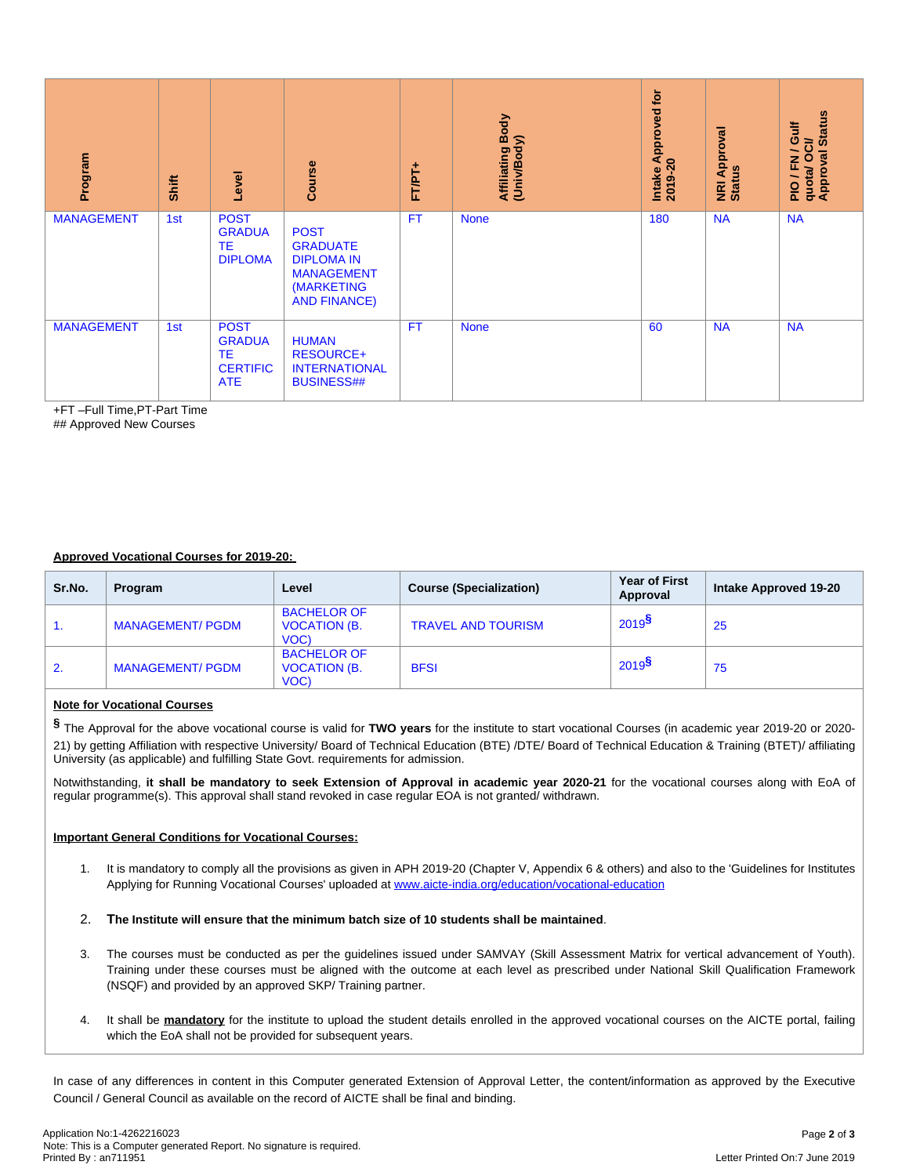| Program                                                                                                                                                                                                                                                                                                                                                                                                                                                                                                                                                                                                                                                                                                                                                                |                         | Shift                   | Level                                                        | Course                                                                                                        | FT/PT+    | Affiliating Body<br>(Univ/Body) |                                  | Intake Approved for<br>2019-20 | <b>NRI Approval</b><br>Status | quota/ OCI/<br>Approval Status<br>PIO/FN/Gulf |  |
|------------------------------------------------------------------------------------------------------------------------------------------------------------------------------------------------------------------------------------------------------------------------------------------------------------------------------------------------------------------------------------------------------------------------------------------------------------------------------------------------------------------------------------------------------------------------------------------------------------------------------------------------------------------------------------------------------------------------------------------------------------------------|-------------------------|-------------------------|--------------------------------------------------------------|---------------------------------------------------------------------------------------------------------------|-----------|---------------------------------|----------------------------------|--------------------------------|-------------------------------|-----------------------------------------------|--|
| <b>MANAGEMENT</b>                                                                                                                                                                                                                                                                                                                                                                                                                                                                                                                                                                                                                                                                                                                                                      |                         | 1st                     | <b>POST</b><br><b>GRADUA</b><br>TЕ<br><b>DIPLOMA</b>         | <b>POST</b><br><b>GRADUATE</b><br><b>DIPLOMA IN</b><br><b>MANAGEMENT</b><br>(MARKETING<br><b>AND FINANCE)</b> | <b>FT</b> | <b>None</b>                     |                                  | 180                            | <b>NA</b>                     | <b>NA</b>                                     |  |
| <b>MANAGEMENT</b>                                                                                                                                                                                                                                                                                                                                                                                                                                                                                                                                                                                                                                                                                                                                                      |                         | 1st                     | <b>POST</b><br><b>GRADUA</b><br>ТE<br><b>CERTIFIC</b><br>ATE | <b>HUMAN</b><br><b>RESOURCE+</b><br><b>INTERNATIONAL</b><br><b>BUSINESS##</b>                                 | <b>FT</b> | <b>None</b>                     |                                  | 60                             | <b>NA</b>                     | <b>NA</b>                                     |  |
| +FT-Full Time,PT-Part Time<br>## Approved New Courses                                                                                                                                                                                                                                                                                                                                                                                                                                                                                                                                                                                                                                                                                                                  |                         |                         |                                                              |                                                                                                               |           |                                 |                                  |                                |                               |                                               |  |
| <b>Approved Vocational Courses for 2019-20:</b>                                                                                                                                                                                                                                                                                                                                                                                                                                                                                                                                                                                                                                                                                                                        |                         |                         |                                                              |                                                                                                               |           |                                 |                                  |                                |                               |                                               |  |
| Sr.No.                                                                                                                                                                                                                                                                                                                                                                                                                                                                                                                                                                                                                                                                                                                                                                 | Program                 |                         |                                                              | Level                                                                                                         |           | <b>Course (Specialization)</b>  | <b>Year of First</b><br>Approval |                                |                               | Intake Approved 19-20                         |  |
| 1.                                                                                                                                                                                                                                                                                                                                                                                                                                                                                                                                                                                                                                                                                                                                                                     |                         | <b>MANAGEMENT/ PGDM</b> |                                                              | <b>BACHELOR OF</b><br><b>VOCATION (B.</b><br>VOC)                                                             |           | <b>TRAVEL AND TOURISM</b>       | $2019$ <sup>§</sup><br>25        |                                |                               |                                               |  |
| 2.                                                                                                                                                                                                                                                                                                                                                                                                                                                                                                                                                                                                                                                                                                                                                                     | <b>MANAGEMENT/ PGDM</b> |                         | <b>BACHELOR OF</b><br><b>VOCATION (B.</b><br>VOC)            | <b>BFSI</b>                                                                                                   |           | $2019^{\frac{5}{2}}$            | 75                               |                                |                               |                                               |  |
| <b>Note for Vocational Courses</b><br>§ The Approval for the above vocational course is valid for TWO years for the institute to start vocational Courses (in academic year 2019-20 or 2020-<br>21) by getting Affiliation with respective University/ Board of Technical Education (BTE) /DTE/ Board of Technical Education & Training (BTET)/ affiliating<br>University (as applicable) and fulfilling State Govt. requirements for admission.<br>Notwithstanding, it shall be mandatory to seek Extension of Approval in academic year 2020-21 for the vocational courses along with EoA of<br>regular programme(s). This approval shall stand revoked in case regular EOA is not granted/withdrawn.<br><b>Important General Conditions for Vocational Courses:</b> |                         |                         |                                                              |                                                                                                               |           |                                 |                                  |                                |                               |                                               |  |
| It is mandatory to comply all the provisions as given in APH 2019-20 (Chapter V, Appendix 6 & others) and also to the 'Guidelines for Institutes<br>1.<br>Applying for Running Vocational Courses' uploaded at www.aicte-india.org/education/vocational-education                                                                                                                                                                                                                                                                                                                                                                                                                                                                                                      |                         |                         |                                                              |                                                                                                               |           |                                 |                                  |                                |                               |                                               |  |
| 2.<br>The Institute will ensure that the minimum batch size of 10 students shall be maintained.                                                                                                                                                                                                                                                                                                                                                                                                                                                                                                                                                                                                                                                                        |                         |                         |                                                              |                                                                                                               |           |                                 |                                  |                                |                               |                                               |  |
| The courses must be conducted as per the guidelines issued under SAMVAY (Skill Assessment Matrix for vertical advancement of Youth).<br>3.<br>Training under these courses must be aligned with the outcome at each level as prescribed under National Skill Qualification Framework<br>(NSQF) and provided by an approved SKP/Training partner.                                                                                                                                                                                                                                                                                                                                                                                                                       |                         |                         |                                                              |                                                                                                               |           |                                 |                                  |                                |                               |                                               |  |
| It shall be mandatory for the institute to upload the student details enrolled in the approved vocational courses on the AICTE portal, failing<br>4.<br>which the EoA shall not be provided for subsequent years.                                                                                                                                                                                                                                                                                                                                                                                                                                                                                                                                                      |                         |                         |                                                              |                                                                                                               |           |                                 |                                  |                                |                               |                                               |  |
| In case of any differences in content in this Computer generated Extension of Approval Letter, the content/information as approved by the Executive<br>Council / General Council as available on the record of AICTE shall be final and binding.                                                                                                                                                                                                                                                                                                                                                                                                                                                                                                                       |                         |                         |                                                              |                                                                                                               |           |                                 |                                  |                                |                               |                                               |  |
| Application No:1-4262216023                                                                                                                                                                                                                                                                                                                                                                                                                                                                                                                                                                                                                                                                                                                                            |                         |                         |                                                              |                                                                                                               |           |                                 |                                  |                                |                               | Page 2 of 3                                   |  |
| Note: This is a Computer generated Report. No signature is required.<br>Printed By: an711951<br>Letter Printed On:7 June 2019                                                                                                                                                                                                                                                                                                                                                                                                                                                                                                                                                                                                                                          |                         |                         |                                                              |                                                                                                               |           |                                 |                                  |                                |                               |                                               |  |

## **Approved Vocational Courses for 2019-20:**

| Sr.No. | Program                 | Level                                             | <b>Course (Specialization)</b> | <b>Year of First</b><br>Approval | Intake Approved 19-20 |
|--------|-------------------------|---------------------------------------------------|--------------------------------|----------------------------------|-----------------------|
|        | <b>MANAGEMENT/ PGDM</b> | <b>BACHELOR OF</b><br><b>VOCATION (B.</b><br>VOC) | <b>TRAVEL AND TOURISM</b>      | 2019 <sup>9</sup>                | 25                    |
| 2.     | <b>MANAGEMENT/ PGDM</b> | <b>BACHELOR OF</b><br><b>VOCATION (B.</b><br>VOC) | <b>BFSI</b>                    | $2019$ <sup>3</sup>              | 75                    |

## **Note for Vocational Courses**

## **Important General Conditions for Vocational Courses:**

- 1. It is mandatory to comply all the provisions as given in APH 2019-20 (Chapter V, Appendix 6 & others) and also to the 'Guidelines for Institutes Applying for Running Vocational Courses' uploaded at [www.aicte-india.org/education/vocational-education](https://www.aicte-india.org/education/vocational-education)
- 2. **The Institute will ensure that the minimum batch size of 10 students shall be maintained**.
- 3. The courses must be conducted as per the guidelines issued under SAMVAY (Skill Assessment Matrix for vertical advancement of Youth). Training under these courses must be aligned with the outcome at each level as prescribed under National Skill Qualification Framework (NSQF) and provided by an approved SKP/ Training partner.
- 4. It shall be **mandatory** for the institute to upload the student details enrolled in the approved vocational courses on the AICTE portal, failing which the EoA shall not be provided for subsequent years.